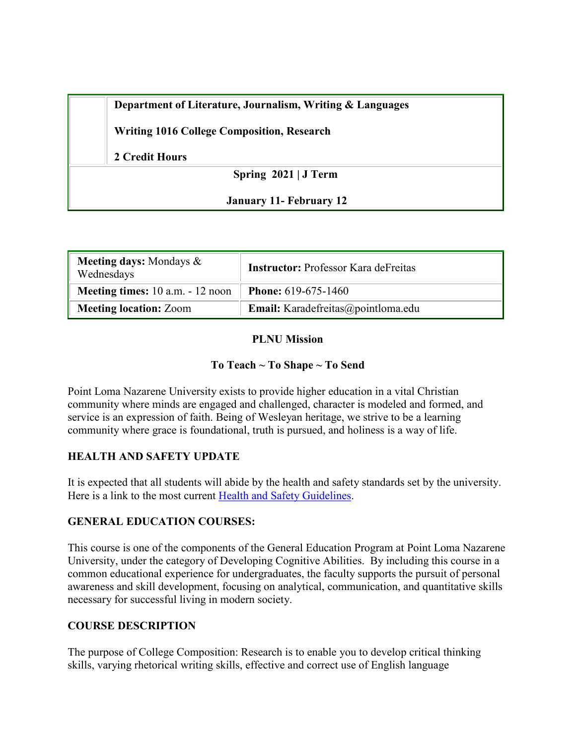| Department of Literature, Journalism, Writing & Languages |  |  |
|-----------------------------------------------------------|--|--|
|                                                           |  |  |

**Writing 1016 College Composition, Research**

**2 Credit Hours**

**Spring 2021 | J Term**

**January 11- February 12**

| <b>Meeting days:</b> Mondays $\&$<br>Wednesdays | <b>Instructor: Professor Kara deFreitas</b> |  |  |
|-------------------------------------------------|---------------------------------------------|--|--|
| Meeting times: 10 a.m. - 12 noon                | <b>Phone:</b> 619-675-1460                  |  |  |
| <b>Meeting location: Zoom</b>                   | Email: Karadefreitas@pointloma.edu          |  |  |

**PLNU Mission**

#### **To Teach ~ To Shape ~ To Send**

Point Loma Nazarene University exists to provide higher education in a vital Christian community where minds are engaged and challenged, character is modeled and formed, and service is an expression of faith. Being of Wesleyan heritage, we strive to be a learning community where grace is foundational, truth is pursued, and holiness is a way of life.

#### **HEALTH AND SAFETY UPDATE**

It is expected that all students will abide by the health and safety standards set by the university. Here is a link to the most current [Health and Safety Guidelines.](https://www.pointloma.edu/coronavirus-covid-19-information/healthy-safe-community)

#### **GENERAL EDUCATION COURSES:**

This course is one of the components of the General Education Program at Point Loma Nazarene University, under the category of Developing Cognitive Abilities. By including this course in a common educational experience for undergraduates, the faculty supports the pursuit of personal awareness and skill development, focusing on analytical, communication, and quantitative skills necessary for successful living in modern society.

# **COURSE DESCRIPTION**

The purpose of College Composition: Research is to enable you to develop critical thinking skills, varying rhetorical writing skills, effective and correct use of English language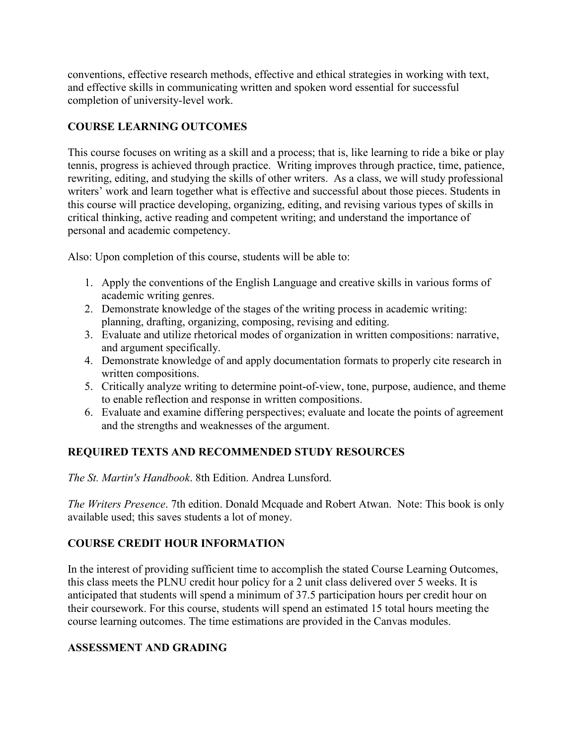conventions, effective research methods, effective and ethical strategies in working with text, and effective skills in communicating written and spoken word essential for successful completion of university-level work.

# **COURSE LEARNING OUTCOMES**

This course focuses on writing as a skill and a process; that is, like learning to ride a bike or play tennis, progress is achieved through practice. Writing improves through practice, time, patience, rewriting, editing, and studying the skills of other writers. As a class, we will study professional writers' work and learn together what is effective and successful about those pieces. Students in this course will practice developing, organizing, editing, and revising various types of skills in critical thinking, active reading and competent writing; and understand the importance of personal and academic competency.

Also: Upon completion of this course, students will be able to:

- 1. Apply the conventions of the English Language and creative skills in various forms of academic writing genres.
- 2. Demonstrate knowledge of the stages of the writing process in academic writing: planning, drafting, organizing, composing, revising and editing.
- 3. Evaluate and utilize rhetorical modes of organization in written compositions: narrative, and argument specifically.
- 4. Demonstrate knowledge of and apply documentation formats to properly cite research in written compositions.
- 5. Critically analyze writing to determine point-of-view, tone, purpose, audience, and theme to enable reflection and response in written compositions.
- 6. Evaluate and examine differing perspectives; evaluate and locate the points of agreement and the strengths and weaknesses of the argument.

# **REQUIRED TEXTS AND RECOMMENDED STUDY RESOURCES**

*The St. Martin's Handbook*. 8th Edition. Andrea Lunsford.

*The Writers Presence*. 7th edition. Donald Mcquade and Robert Atwan. Note: This book is only available used; this saves students a lot of money.

# **COURSE CREDIT HOUR INFORMATION**

In the interest of providing sufficient time to accomplish the stated Course Learning Outcomes, this class meets the PLNU credit hour policy for a 2 unit class delivered over 5 weeks. It is anticipated that students will spend a minimum of 37.5 participation hours per credit hour on their coursework. For this course, students will spend an estimated 15 total hours meeting the course learning outcomes. The time estimations are provided in the Canvas modules.

# **ASSESSMENT AND GRADING**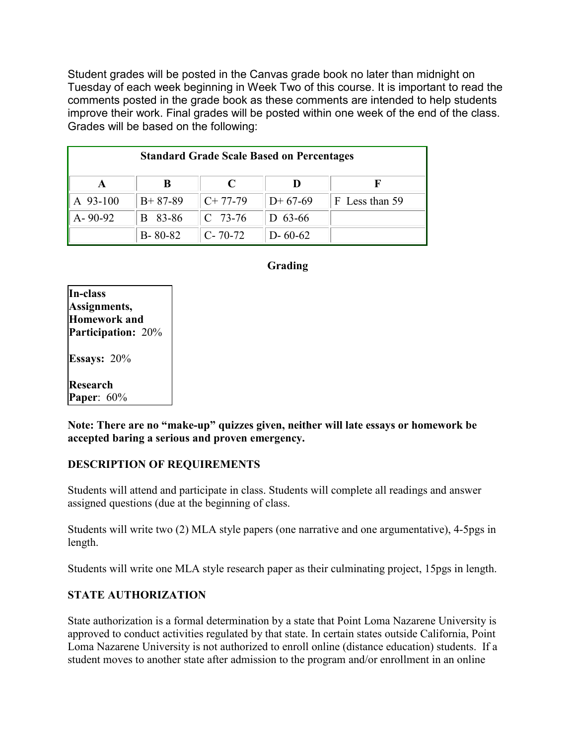Student grades will be posted in the Canvas grade book no later than midnight on Tuesday of each week beginning in Week Two of this course. It is important to read the comments posted in the grade book as these comments are intended to help students improve their work. Final grades will be posted within one week of the end of the class. Grades will be based on the following:

| <b>Standard Grade Scale Based on Percentages</b> |               |               |               |                |  |  |
|--------------------------------------------------|---------------|---------------|---------------|----------------|--|--|
|                                                  | B             | C             |               |                |  |  |
| A 93-100                                         | $B+87-89$     | $C+77-79$     | $D+67-69$     | F Less than 59 |  |  |
| $A - 90 - 92$                                    | 83-86<br>B    | $C$ 73-76     | $D$ 63-66     |                |  |  |
|                                                  | $B - 80 - 82$ | $C - 70 - 72$ | $D - 60 - 62$ |                |  |  |

### **Grading**

| In-class             |
|----------------------|
| Assignments,         |
| <b>Homework</b> and  |
| Participation: 20%   |
| <b>Essays:</b> $20%$ |
| <b>Research</b>      |
| Paper: 60%           |

**Note: There are no "make-up" quizzes given, neither will late essays or homework be accepted baring a serious and proven emergency.**

#### **DESCRIPTION OF REQUIREMENTS**

Students will attend and participate in class. Students will complete all readings and answer assigned questions (due at the beginning of class.

Students will write two (2) MLA style papers (one narrative and one argumentative), 4-5pgs in length.

Students will write one MLA style research paper as their culminating project, 15pgs in length.

#### **STATE AUTHORIZATION**

State authorization is a formal determination by a state that Point Loma Nazarene University is approved to conduct activities regulated by that state. In certain states outside California, Point Loma Nazarene University is not authorized to enroll online (distance education) students. If a student moves to another state after admission to the program and/or enrollment in an online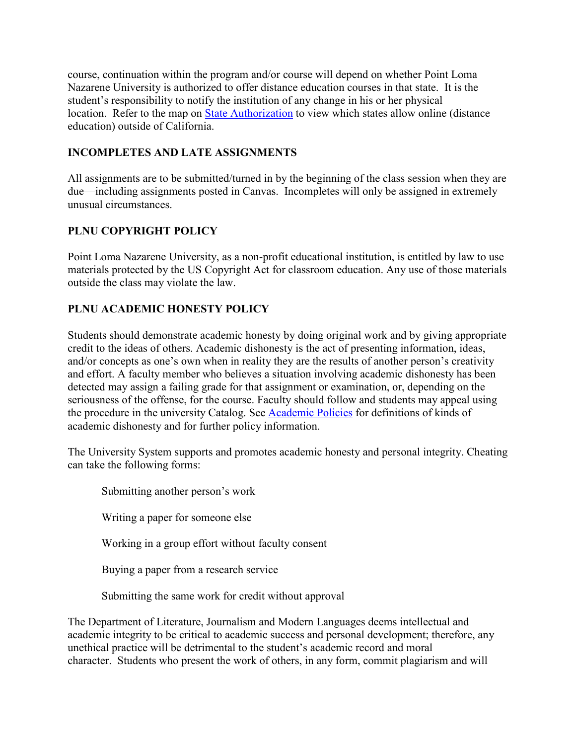course, continuation within the program and/or course will depend on whether Point Loma Nazarene University is authorized to offer distance education courses in that state. It is the student's responsibility to notify the institution of any change in his or her physical location. Refer to the map on [State Authorization](https://www.pointloma.edu/offices/office-institutional-effectiveness-research/disclosures) to view which states allow online (distance education) outside of California.

### **INCOMPLETES AND LATE ASSIGNMENTS**

All assignments are to be submitted/turned in by the beginning of the class session when they are due—including assignments posted in Canvas. Incompletes will only be assigned in extremely unusual circumstances.

# **PLNU COPYRIGHT POLICY**

Point Loma Nazarene University, as a non-profit educational institution, is entitled by law to use materials protected by the US Copyright Act for classroom education. Any use of those materials outside the class may violate the law.

### **PLNU ACADEMIC HONESTY POLICY**

Students should demonstrate academic honesty by doing original work and by giving appropriate credit to the ideas of others. Academic dishonesty is the act of presenting information, ideas, and/or concepts as one's own when in reality they are the results of another person's creativity and effort. A faculty member who believes a situation involving academic dishonesty has been detected may assign a failing grade for that assignment or examination, or, depending on the seriousness of the offense, for the course. Faculty should follow and students may appeal using the procedure in the university Catalog. See [Academic Policies](http://catalog.pointloma.edu/content.php?catoid=18&navoid=1278) for definitions of kinds of academic dishonesty and for further policy information.

The University System supports and promotes academic honesty and personal integrity. Cheating can take the following forms:

 Submitting another person's work Writing a paper for someone else Working in a group effort without faculty consent Buying a paper from a research service Submitting the same work for credit without approval

The Department of Literature, Journalism and Modern Languages deems intellectual and academic integrity to be critical to academic success and personal development; therefore, any unethical practice will be detrimental to the student's academic record and moral character. Students who present the work of others, in any form, commit plagiarism and will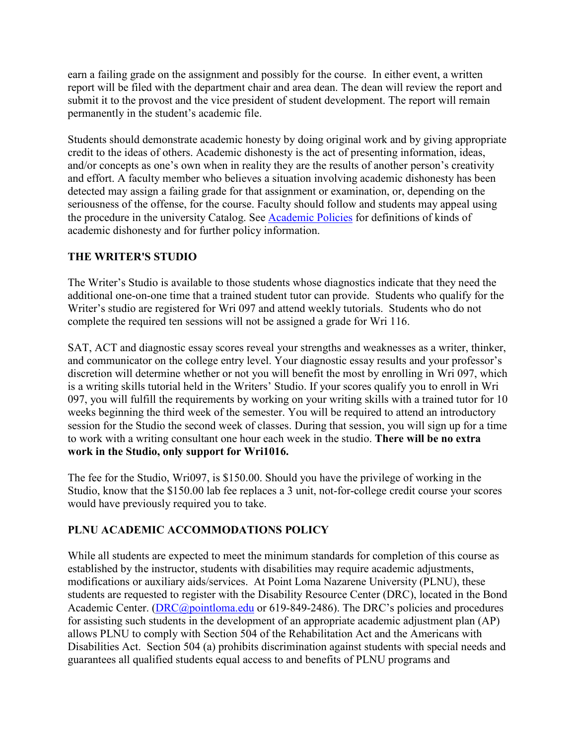earn a failing grade on the assignment and possibly for the course. In either event, a written report will be filed with the department chair and area dean. The dean will review the report and submit it to the provost and the vice president of student development. The report will remain permanently in the student's academic file.

Students should demonstrate academic honesty by doing original work and by giving appropriate credit to the ideas of others. Academic dishonesty is the act of presenting information, ideas, and/or concepts as one's own when in reality they are the results of another person's creativity and effort. A faculty member who believes a situation involving academic dishonesty has been detected may assign a failing grade for that assignment or examination, or, depending on the seriousness of the offense, for the course. Faculty should follow and students may appeal using the procedure in the university Catalog. See [Academic Policies](http://catalog.pointloma.edu/content.php?catoid=18&navoid=1278) for definitions of kinds of academic dishonesty and for further policy information.

### **THE WRITER'S STUDIO**

The Writer's Studio is available to those students whose diagnostics indicate that they need the additional one-on-one time that a trained student tutor can provide. Students who qualify for the Writer's studio are registered for Wri 097 and attend weekly tutorials. Students who do not complete the required ten sessions will not be assigned a grade for Wri 116.

SAT, ACT and diagnostic essay scores reveal your strengths and weaknesses as a writer, thinker, and communicator on the college entry level. Your diagnostic essay results and your professor's discretion will determine whether or not you will benefit the most by enrolling in Wri 097, which is a writing skills tutorial held in the Writers' Studio. If your scores qualify you to enroll in Wri 097, you will fulfill the requirements by working on your writing skills with a trained tutor for 10 weeks beginning the third week of the semester. You will be required to attend an introductory session for the Studio the second week of classes. During that session, you will sign up for a time to work with a writing consultant one hour each week in the studio. **There will be no extra work in the Studio, only support for Wri1016.** 

The fee for the Studio, Wri097, is \$150.00. Should you have the privilege of working in the Studio, know that the \$150.00 lab fee replaces a 3 unit, not-for-college credit course your scores would have previously required you to take.

# **PLNU ACADEMIC ACCOMMODATIONS POLICY**

While all students are expected to meet the minimum standards for completion of this course as established by the instructor, students with disabilities may require academic adjustments, modifications or auxiliary aids/services. At Point Loma Nazarene University (PLNU), these students are requested to register with the Disability Resource Center (DRC), located in the Bond Academic Center. [\(DRC@pointloma.edu](mailto:DRC@pointloma.edu) or 619-849-2486). The DRC's policies and procedures for assisting such students in the development of an appropriate academic adjustment plan (AP) allows PLNU to comply with Section 504 of the Rehabilitation Act and the Americans with Disabilities Act. Section 504 (a) prohibits discrimination against students with special needs and guarantees all qualified students equal access to and benefits of PLNU programs and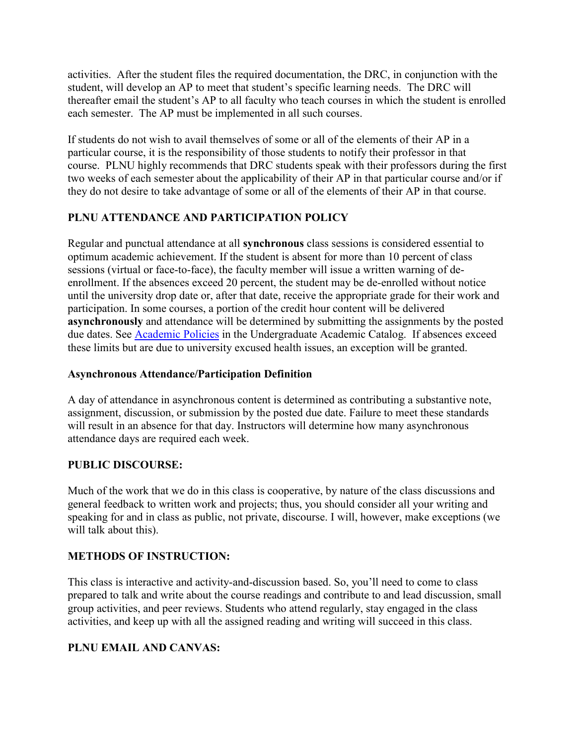activities. After the student files the required documentation, the DRC, in conjunction with the student, will develop an AP to meet that student's specific learning needs. The DRC will thereafter email the student's AP to all faculty who teach courses in which the student is enrolled each semester. The AP must be implemented in all such courses.

If students do not wish to avail themselves of some or all of the elements of their AP in a particular course, it is the responsibility of those students to notify their professor in that course. PLNU highly recommends that DRC students speak with their professors during the first two weeks of each semester about the applicability of their AP in that particular course and/or if they do not desire to take advantage of some or all of the elements of their AP in that course.

# **PLNU ATTENDANCE AND PARTICIPATION POLICY**

Regular and punctual attendance at all **synchronous** class sessions is considered essential to optimum academic achievement. If the student is absent for more than 10 percent of class sessions (virtual or face-to-face), the faculty member will issue a written warning of deenrollment. If the absences exceed 20 percent, the student may be de-enrolled without notice until the university drop date or, after that date, receive the appropriate grade for their work and participation. In some courses, a portion of the credit hour content will be delivered **asynchronously** and attendance will be determined by submitting the assignments by the posted due dates. See [Academic Policies](https://catalog.pointloma.edu/content.php?catoid=46&navoid=2650#Class_Attendance) in the Undergraduate Academic Catalog. If absences exceed these limits but are due to university excused health issues, an exception will be granted.

#### **Asynchronous Attendance/Participation Definition**

A day of attendance in asynchronous content is determined as contributing a substantive note, assignment, discussion, or submission by the posted due date. Failure to meet these standards will result in an absence for that day. Instructors will determine how many asynchronous attendance days are required each week.

#### **PUBLIC DISCOURSE:**

Much of the work that we do in this class is cooperative, by nature of the class discussions and general feedback to written work and projects; thus, you should consider all your writing and speaking for and in class as public, not private, discourse. I will, however, make exceptions (we will talk about this).

#### **METHODS OF INSTRUCTION:**

This class is interactive and activity-and-discussion based. So, you'll need to come to class prepared to talk and write about the course readings and contribute to and lead discussion, small group activities, and peer reviews. Students who attend regularly, stay engaged in the class activities, and keep up with all the assigned reading and writing will succeed in this class.

# **PLNU EMAIL AND CANVAS:**